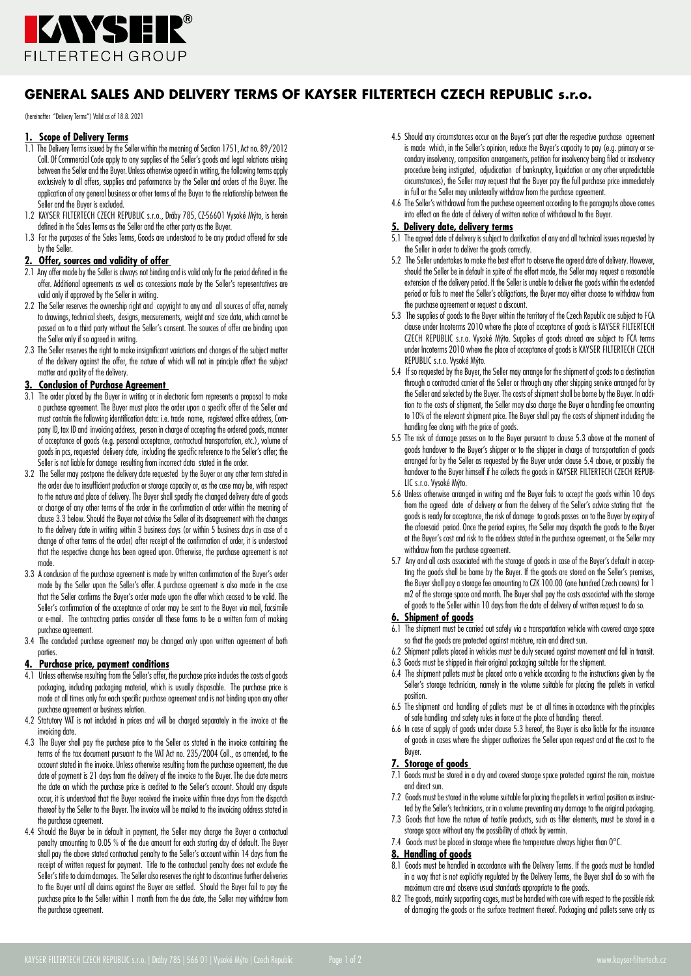

# **GENERAL SALES AND DELIVERY TERMS OF KAYSER FILTERTECH CZECH REPUBLIC s.r.o.**

(hereinafter "Delivery Terms") Valid as of 18.8. 2021

### **1. Scope of Delivery Terms**

- 1.1 The Delivery Terms issued by the Seller within the meaning of Section 1751, Act no. 89/2012 Coll. Of Commercial Code apply to any supplies of the Seller's goods and legal relations arising between the Seller and the Buyer. Unless otherwise agreed in writing, the following terms apply exclusively to all offers, supplies and performance by the Seller and orders of the Buyer. The application of any general business or other terms of the Buyer to the relationship between the Seller and the Buyer is excluded.
- 1.2 KAYSER FILTERTECH CZECH REPUBLIC s.r.o., Dráby 785, CZ-56601 Vysoké Mýto, is herein defined in the Sales Terms as the Seller and the other party as the Buyer.
- 1.3 For the purposes of the Sales Terms, Goods are understood to be any product offered for sale by the Seller.

# **2. Offer, sources and validity of offer**

- 2.1 Any offer made by the Seller is always not binding and is valid only for the period defined in the offer. Additional agreements as well as concessions made by the Seller's representatives are valid only if approved by the Seller in writing.
- 2.2 The Seller reserves the ownership right and copyright to any and all sources of offer, namely to drawings, technical sheets, designs, measurements, weight and size data, which cannot be passed on to a third party without the Seller's consent. The sources of offer are binding upon the Seller only if so agreed in writing.
- 2.3 The Seller reserves the right to make insignificant variations and changes of the subject matter of the delivery against the offer, the nature of which will not in principle affect the subject matter and quality of the delivery.

# **3. Conclusion of Purchase Agreement**

- 3.1 The order placed by the Buyer in writing or in electronic form represents a proposal to make a purchase agreement. The Buyer must place the order upon a specific offer of the Seller and must contain the following identification data: i.e. trade name, registered office address, Company ID, tax ID and invoicing address, person in charge of accepting the ordered goods, manner of acceptance of goods (e.g. personal acceptance, contractual transportation, etc.), volume of goods in pcs, requested delivery date, including the specific reference to the Seller's offer; the Seller is not liable for damage resulting from incorrect data stated in the order.
- 3.2 The Seller may postpone the delivery date requested by the Buyer or any other term stated in the order due to insufficient production or storage capacity or, as the case may be, with respect to the nature and place of delivery. The Buyer shall specify the changed delivery date of goods or change of any other terms of the order in the confirmation of order within the meaning of clause 3.3 below. Should the Buyer not advise the Seller of its disagreement with the changes to the delivery date in writing within 3 business days (or within 5 business days in case of a change of other terms of the order) after receipt of the confirmation of order, it is understood that the respective change has been agreed upon. Otherwise, the purchase agreement is not made.
- 3.3 A conclusion of the purchase agreement is made by written confirmation of the Buyer's order made by the Seller upon the Seller's offer. A purchase agreement is also made in the case that the Seller confirms the Buyer's order made upon the offer which ceased to be valid. The Seller's confirmation of the acceptance of order may be sent to the Buyer via mail, facsimile or e-mail. The contracting parties consider all these forms to be a written form of making purchase agreement.
- 3.4 The concluded purchase agreement may be changed only upon written agreement of both parties.

### **4. Purchase price, payment conditions**

- 4.1 Unless otherwise resulting from the Seller's offer, the purchase price includes the costs of goods packaging, including packaging material, which is usually disposable. The purchase price is made at all times only for each specific purchase agreement and is not binding upon any other purchase agreement or business relation.
- 4.2 Statutory VAT is not included in prices and will be charged separately in the invoice at the invoicing date.
- 4.3 The Buyer shall pay the purchase price to the Seller as stated in the invoice containing the terms of the tax document pursuant to the VAT Act no. 235/2004 Coll., as amended, to the account stated in the invoice. Unless otherwise resulting from the purchase agreement, the due date of payment is 21 days from the delivery of the invoice to the Buyer. The due date means the date on which the purchase price is credited to the Seller's account. Should any dispute occur, it is understood that the Buyer received the invoice within three days from the dispatch thereof by the Seller to the Buyer. The invoice will be mailed to the invoicing address stated in the purchase agreement
- 4.4 Should the Buyer be in default in payment, the Seller may charge the Buyer a contractual penalty amounting to 0.05 % of the due amount for each starting day of default. The Buyer shall pay the above stated contractual penalty to the Seller's account within 14 days from the receipt of written request for payment. Title to the contractual penalty does not exclude the Seller's title to claim damages. The Seller also reserves the right to discontinue further deliveries to the Buyer until all claims against the Buyer are settled. Should the Buyer fail to pay the purchase price to the Seller within 1 month from the due date, the Seller may withdraw from the purchase agreement.
- 4.5 Should any circumstances occur on the Buyer's part after the respective purchase agreement is made which, in the Seller's opinion, reduce the Buyer's capacity to pay (e.g. primary or secondary insolvency, composition arrangements, petition for insolvency being filed or insolvency procedure being instigated, adjudication of bankruptcy, liquidation or any other unpredictable circumstances), the Seller may request that the Buyer pay the full purchase price immediately in full or the Seller may unilaterally withdraw from the purchase agreement.
- 4.6 The Seller's withdrawal from the purchase agreement according to the paragraphs above comes into effect on the date of delivery of written notice of withdrawal to the Buyer.

## **5. Delivery date, delivery terms**

- 5.1 The agreed date of delivery is subject to clarification of any and all technical issues requested by the Seller in order to deliver the goods correctly.
- 5.2 The Seller undertakes to make the best effort to observe the agreed date of delivery. However, should the Seller be in default in spite of the effort made, the Seller may request a reasonable extension of the delivery period. If the Seller is unable to deliver the goods within the extended period or fails to meet the Seller's obligations, the Buyer may either choose to withdraw from the purchase agreement or request a discount.
- 5.3 The supplies of goods to the Buyer within the territory of the Czech Republic are subject to FCA clause under Incoterms 2010 where the place of acceptance of goods is KAYSER FILTERTECH CZECH REPUBLIC s.r.o. Vysoké Mýto. Supplies of goods abroad are subject to FCA terms under Incoterms 2010 where the place of acceptance of goods is KAYSER FILTERTECH CZECH REPUBLIC s.r.o. Vysoké Mýto.
- 5.4 If so requested by the Buyer, the Seller may arrange for the shipment of goods to a destination through a contracted carrier of the Seller or through any other shipping service arranged for by the Seller and selected by the Buyer. The costs of shipment shall be borne by the Buyer. In addition to the costs of shipment, the Seller may also charge the Buyer a handling fee amounting to 10% of the relevant shipment price. The Buyer shall pay the costs of shipment including the handling fee along with the price of goods.
- 5.5 The risk of damage passes on to the Buyer pursuant to clause 5.3 above at the moment of goods handover to the Buyer's shipper or to the shipper in charge of transportation of goods arranged for by the Seller as requested by the Buyer under clause 5.4 above, or possibly the handover to the Buyer himself if he collects the goods in KAYSER FILTERTECH CZECH REPUB-LIC s.r.o. Vysoké Mýto.
- 5.6 Unless otherwise arranged in writing and the Buyer fails to accept the goods within 10 days from the agreed date of delivery or from the delivery of the Seller's advice stating that the goods is ready for acceptance, the risk of damage to goods passes on to the Buyer by expiry of the aforesaid period. Once the period expires, the Seller may dispatch the goods to the Buyer at the Buyer's cost and risk to the address stated in the purchase agreement, or the Seller may withdraw from the purchase agreement.
- 5.7 Any and all costs associated with the storage of goods in case of the Buyer's default in accepting the goods shall be borne by the Buyer. If the goods are stored on the Seller's premises, the Buyer shall pay a storage fee amounting to CZK 100.00 (one hundred Czech crowns) for 1 m2 of the storage space and month. The Buyer shall pay the costs associated with the storage of goods to the Seller within 10 days from the date of delivery of written request to do so.

#### **6. Shipment of goods**

- 6.1 The shipment must be carried out safely via a transportation vehicle with covered cargo space so that the goods are protected against moisture, rain and direct sun.
- 6.2 Shipment pallets placed in vehicles must be duly secured against movement and fall in transit.
- 6.3 Goods must be shipped in their original packaging suitable for the shipment.
- 6.4 The shipment pallets must be placed onto a vehicle according to the instructions given by the Seller's storage technician, namely in the volume suitable for placing the pallets in vertical position.
- 6.5 The shipment and handling of pallets must be at all times in accordance with the principles of safe handling and safety rules in force at the place of handling thereof.
- 6.6 In case of supply of goods under clause 5.3 hereof, the Buyer is also liable for the insurance of goods in cases where the shipper authorizes the Seller upon request and at the cost to the Buyer.

### **7. Storage of goods**

- 7.1 Goods must be stored in a dry and covered storage space protected against the rain, moisture and direct sun.
- 7.2 Goods must be stored in the volume suitable for placing the pallets in vertical position as instructed by the Seller's technicians, or in a volume preventing any damage to the original packaging.
- 7.3 Goods that have the nature of textile products, such as filter elements, must be stored in a storage space without any the possibility of attack by vermin.
- 7.4 Goods must be placed in storage where the temperature always higher than 0°C.

## **8. Handling of goods**

- 8.1 Goods must be handled in accordance with the Delivery Terms. If the goods must be handled in a way that is not explicitly regulated by the Delivery Terms, the Buyer shall do so with the maximum care and observe usual standards appropriate to the goods.
- 8.2 The goods, mainly supporting cages, must be handled with care with respect to the possible risk of damaging the goods or the surface treatment thereof. Packaging and pallets serve only as